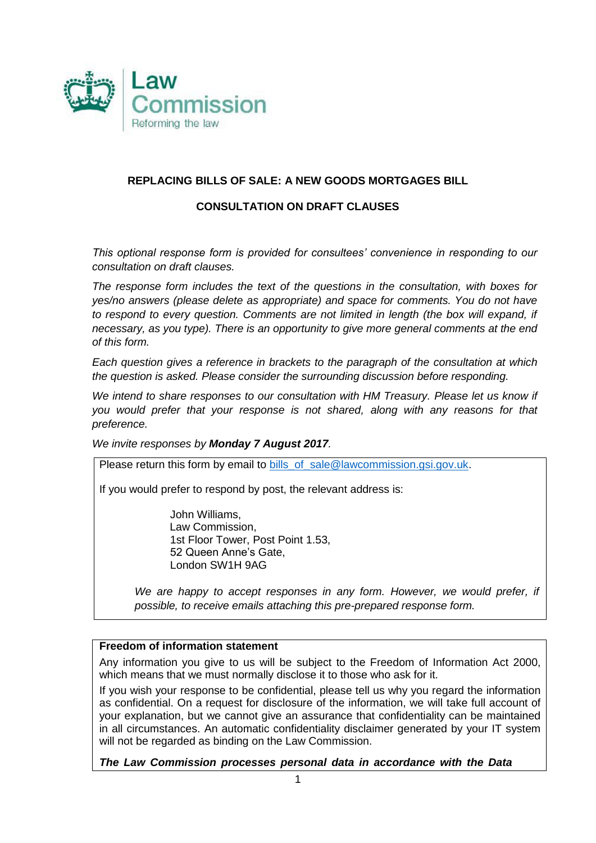

### **REPLACING BILLS OF SALE: A NEW GOODS MORTGAGES BILL**

#### **CONSULTATION ON DRAFT CLAUSES**

*This optional response form is provided for consultees' convenience in responding to our consultation on draft clauses.* 

*The response form includes the text of the questions in the consultation, with boxes for yes/no answers (please delete as appropriate) and space for comments. You do not have*  to respond to every question. Comments are not limited in length (the box will expand, if *necessary, as you type). There is an opportunity to give more general comments at the end of this form.*

*Each question gives a reference in brackets to the paragraph of the consultation at which the question is asked. Please consider the surrounding discussion before responding.* 

*We intend to share responses to our consultation with HM Treasury. Please let us know if you would prefer that your response is not shared, along with any reasons for that preference.* 

*We invite responses by Monday 7 August 2017.*

Please return this form by email to [bills\\_of\\_sale@lawcommission.gsi.gov.uk.](mailto:bills_of_sale@lawcommission.gsi.gov.uk)

If you would prefer to respond by post, the relevant address is:

John Williams, Law Commission, 1st Floor Tower, Post Point 1.53, 52 Queen Anne's Gate, London SW1H 9AG

*We are happy to accept responses in any form. However, we would prefer, if possible, to receive emails attaching this pre-prepared response form.*

#### **Freedom of information statement**

Any information you give to us will be subject to the Freedom of Information Act 2000, which means that we must normally disclose it to those who ask for it.

If you wish your response to be confidential, please tell us why you regard the information as confidential. On a request for disclosure of the information, we will take full account of your explanation, but we cannot give an assurance that confidentiality can be maintained in all circumstances. An automatic confidentiality disclaimer generated by your IT system will not be regarded as binding on the Law Commission.

*The Law Commission processes personal data in accordance with the Data*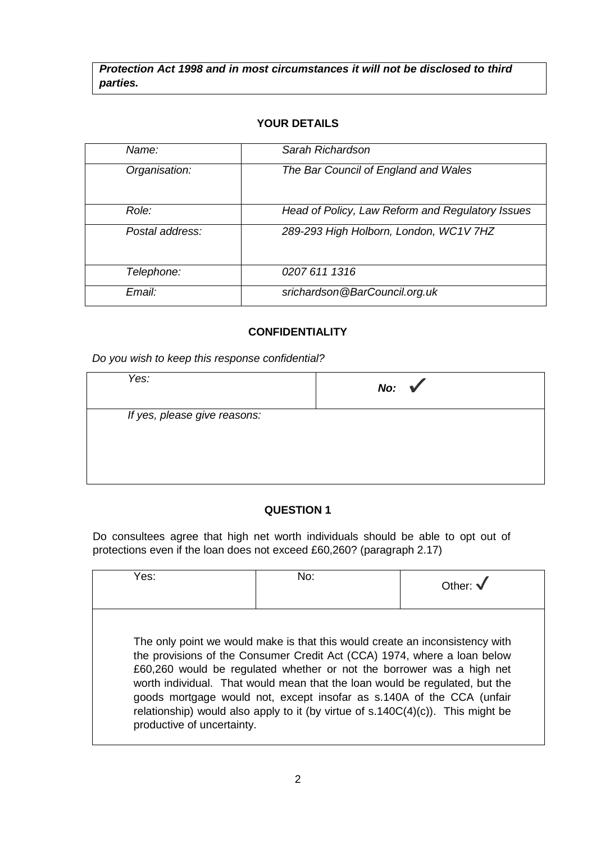*Protection Act 1998 and in most circumstances it will not be disclosed to third parties.*

#### **YOUR DETAILS**

| Name:           | Sarah Richardson                                 |
|-----------------|--------------------------------------------------|
|                 |                                                  |
| Organisation:   | The Bar Council of England and Wales             |
|                 |                                                  |
|                 |                                                  |
|                 |                                                  |
| Role:           | Head of Policy, Law Reform and Regulatory Issues |
|                 |                                                  |
| Postal address: | 289-293 High Holborn, London, WC1V 7HZ           |
|                 |                                                  |
|                 |                                                  |
|                 |                                                  |
| Telephone:      | 0207 611 1316                                    |
|                 |                                                  |
| Email:          | srichardson@BarCouncil.org.uk                    |
|                 |                                                  |

#### **CONFIDENTIALITY**

*Do you wish to keep this response confidential?*

| Yes:                         | No: $\sqrt{ }$ |
|------------------------------|----------------|
| If yes, please give reasons: |                |
|                              |                |

### **QUESTION 1**

Do consultees agree that high net worth individuals should be able to opt out of protections even if the loan does not exceed £60,260? (paragraph 2.17)

| Yes:                       | No:                                                                                                                                                                                                                                                                                                                                                                                                                                                                          | Other: $\sqrt$ |
|----------------------------|------------------------------------------------------------------------------------------------------------------------------------------------------------------------------------------------------------------------------------------------------------------------------------------------------------------------------------------------------------------------------------------------------------------------------------------------------------------------------|----------------|
| productive of uncertainty. | The only point we would make is that this would create an inconsistency with<br>the provisions of the Consumer Credit Act (CCA) 1974, where a loan below<br>£60,260 would be regulated whether or not the borrower was a high net<br>worth individual. That would mean that the loan would be regulated, but the<br>goods mortgage would not, except insofar as s.140A of the CCA (unfair<br>relationship) would also apply to it (by virtue of s.140C(4)(c)). This might be |                |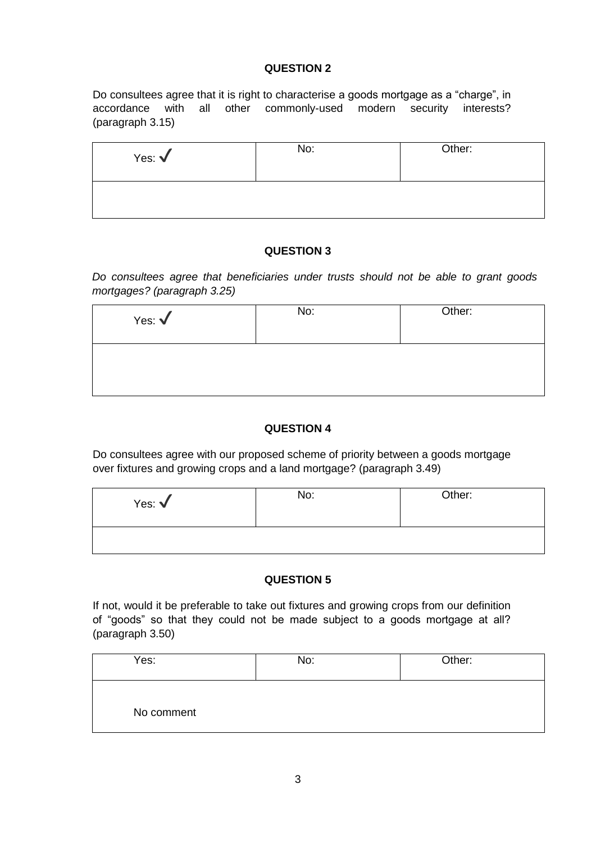Do consultees agree that it is right to characterise a goods mortgage as a "charge", in accordance with all other commonly-used modern security interests? (paragraph 3.15)

| Yes: $\sqrt{}$ | No: | Other: |
|----------------|-----|--------|
|                |     |        |

### **QUESTION 3**

*Do consultees agree that beneficiaries under trusts should not be able to grant goods mortgages? (paragraph 3.25)*

| Yes: $\sqrt$ | No: | Other: |
|--------------|-----|--------|
|              |     |        |

# **QUESTION 4**

Do consultees agree with our proposed scheme of priority between a goods mortgage over fixtures and growing crops and a land mortgage? (paragraph 3.49)

| Yes: $\sqrt$ | No: | Other: |
|--------------|-----|--------|
|              |     |        |

### **QUESTION 5**

If not, would it be preferable to take out fixtures and growing crops from our definition of "goods" so that they could not be made subject to a goods mortgage at all? (paragraph 3.50)

| Yes:       | No: | Other: |
|------------|-----|--------|
| No comment |     |        |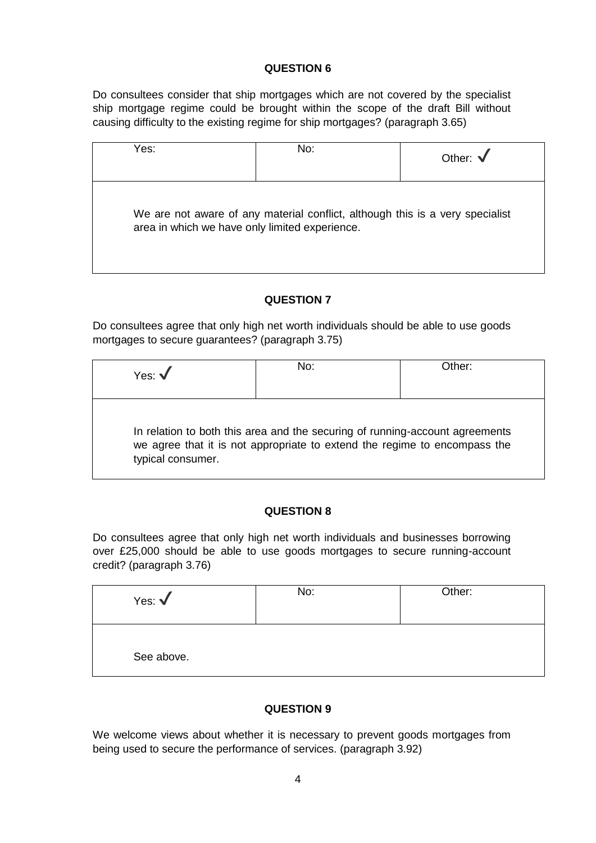Do consultees consider that ship mortgages which are not covered by the specialist ship mortgage regime could be brought within the scope of the draft Bill without causing difficulty to the existing regime for ship mortgages? (paragraph 3.65)

| Yes: | No:                                                                                                                             | Other: $\sqrt$ |
|------|---------------------------------------------------------------------------------------------------------------------------------|----------------|
|      | We are not aware of any material conflict, although this is a very specialist<br>area in which we have only limited experience. |                |

### **QUESTION 7**

Do consultees agree that only high net worth individuals should be able to use goods mortgages to secure guarantees? (paragraph 3.75)

| Yes: $\sqrt{}$    | No:                                                                                                                                                       | Other: |
|-------------------|-----------------------------------------------------------------------------------------------------------------------------------------------------------|--------|
| typical consumer. | In relation to both this area and the securing of running-account agreements<br>we agree that it is not appropriate to extend the regime to encompass the |        |

# **QUESTION 8**

Do consultees agree that only high net worth individuals and businesses borrowing over £25,000 should be able to use goods mortgages to secure running-account credit? (paragraph 3.76)

| Yes: $\sqrt$ | No: | Other: |
|--------------|-----|--------|
| See above.   |     |        |

# **QUESTION 9**

We welcome views about whether it is necessary to prevent goods mortgages from being used to secure the performance of services. (paragraph 3.92)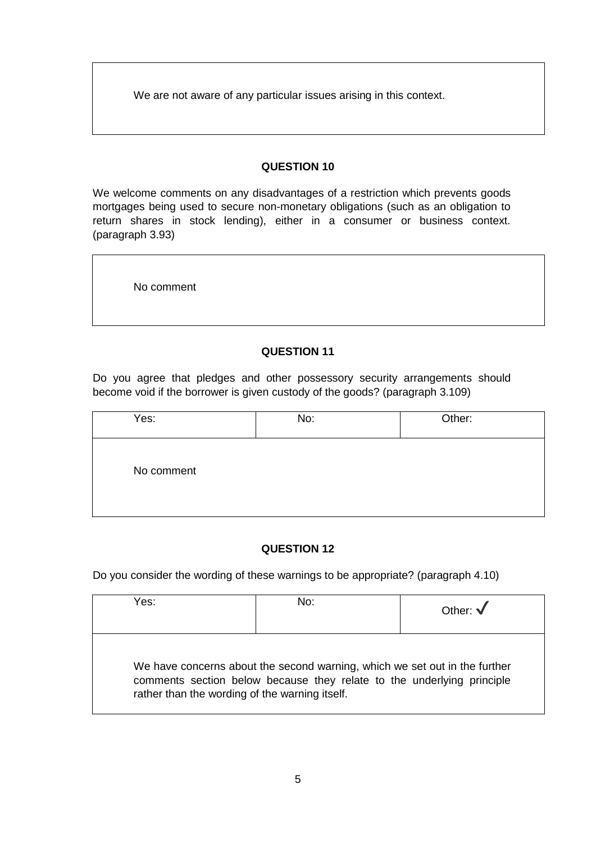We are not aware of any particular issues arising in this context.

### **QUESTION 10**

We welcome comments on any disadvantages of a restriction which prevents goods mortgages being used to secure non-monetary obligations (such as an obligation to return shares in stock lending), either in a consumer or business context. (paragraph 3.93)

No comment

## **QUESTION 11**

Do you agree that pledges and other possessory security arrangements should become void if the borrower is given custody of the goods? (paragraph 3.109)

| Yes:       | No: | Other: |
|------------|-----|--------|
| No comment |     |        |

### **QUESTION 12**

Do you consider the wording of these warnings to be appropriate? (paragraph 4.10)

| ∕es:                                           | No:                                                                                                                                                  | Other: $\sqrt$ |
|------------------------------------------------|------------------------------------------------------------------------------------------------------------------------------------------------------|----------------|
| rather than the wording of the warning itself. | We have concerns about the second warning, which we set out in the further<br>comments section below because they relate to the underlying principle |                |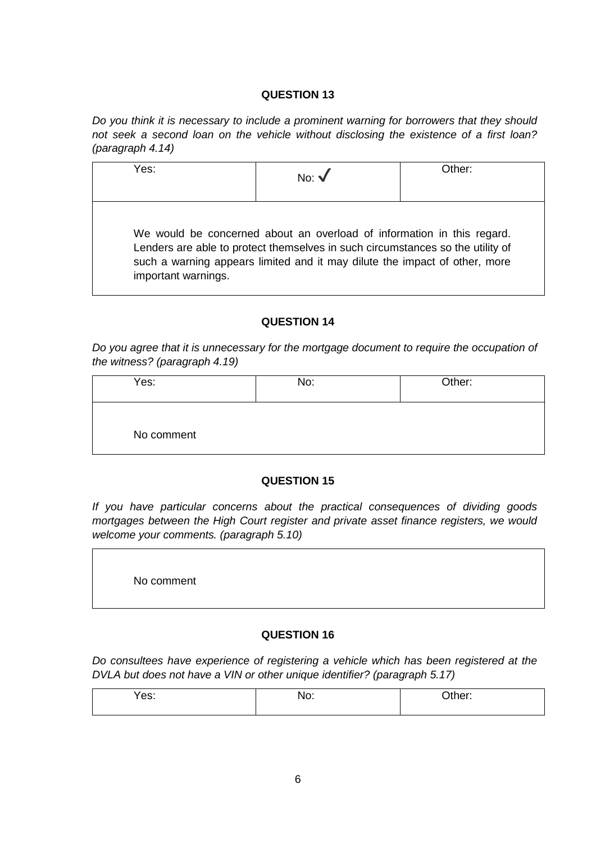*Do you think it is necessary to include a prominent warning for borrowers that they should not seek a second loan on the vehicle without disclosing the existence of a first loan? (paragraph 4.14)*

| Yes:                | No: $\sqrt{ }$                                                                                                                                                                                                                         | Other: |
|---------------------|----------------------------------------------------------------------------------------------------------------------------------------------------------------------------------------------------------------------------------------|--------|
| important warnings. | We would be concerned about an overload of information in this regard.<br>Lenders are able to protect themselves in such circumstances so the utility of<br>such a warning appears limited and it may dilute the impact of other, more |        |

#### **QUESTION 14**

*Do you agree that it is unnecessary for the mortgage document to require the occupation of the witness? (paragraph 4.19)*

| Yes:       | No: | Other: |
|------------|-----|--------|
| No comment |     |        |

### **QUESTION 15**

*If you have particular concerns about the practical consequences of dividing goods mortgages between the High Court register and private asset finance registers, we would welcome your comments. (paragraph 5.10)*

No comment

### **QUESTION 16**

*Do consultees have experience of registering a vehicle which has been registered at the DVLA but does not have a VIN or other unique identifier? (paragraph 5.17)*

| res:<br>. | ıv.<br>_____ | $\cdots$<br>$-1$<br>_____ |
|-----------|--------------|---------------------------|
|           |              |                           |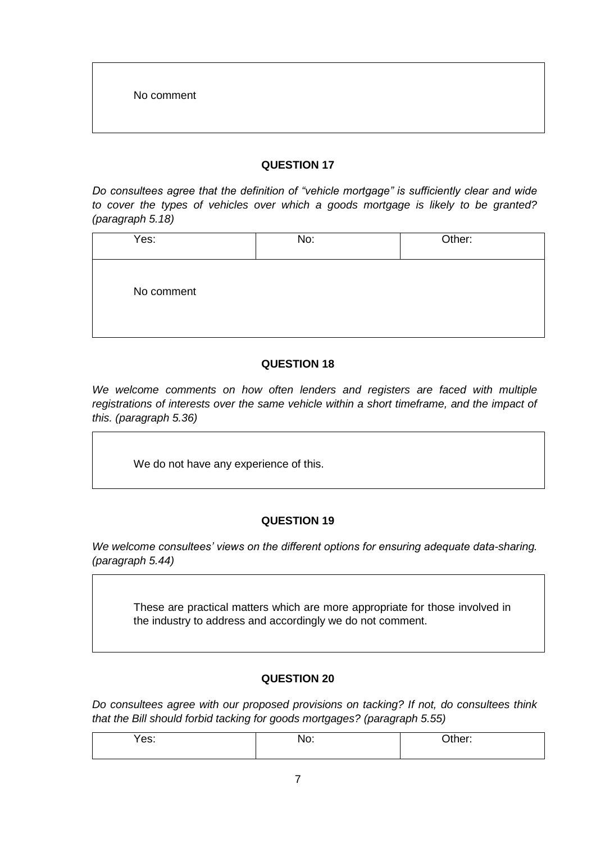*Do consultees agree that the definition of "vehicle mortgage" is sufficiently clear and wide to cover the types of vehicles over which a goods mortgage is likely to be granted? (paragraph 5.18)*

| Yes:       | No: | Other: |
|------------|-----|--------|
| No comment |     |        |

#### **QUESTION 18**

We welcome comments on how often lenders and registers are faced with multiple *registrations of interests over the same vehicle within a short timeframe, and the impact of this. (paragraph 5.36)*

We do not have any experience of this.

### **QUESTION 19**

*We welcome consultees' views on the different options for ensuring adequate data-sharing. (paragraph 5.44)*

These are practical matters which are more appropriate for those involved in the industry to address and accordingly we do not comment.

### **QUESTION 20**

*Do consultees agree with our proposed provisions on tacking? If not, do consultees think that the Bill should forbid tacking for goods mortgages? (paragraph 5.55)*

| Yes: | NO. | ∩ther:<br>- - - - - - |
|------|-----|-----------------------|
|      |     |                       |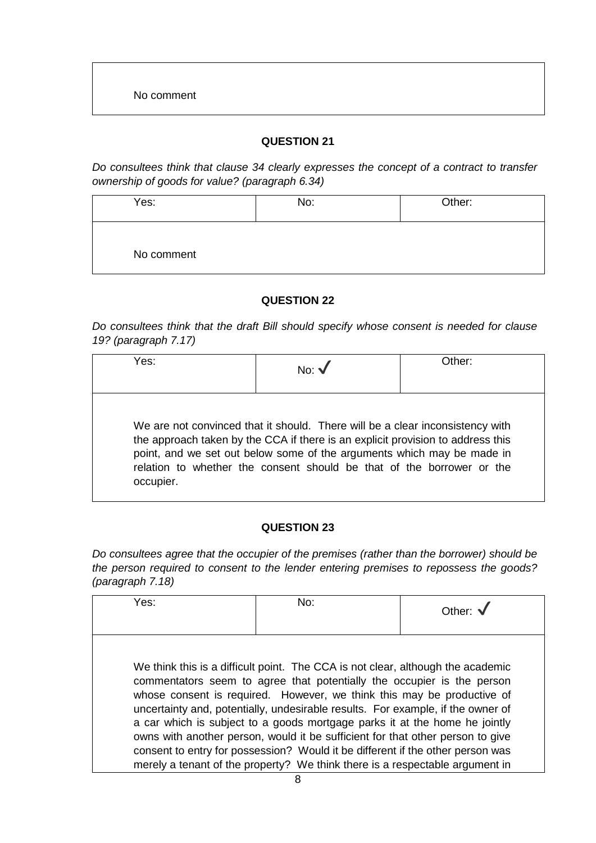*Do consultees think that clause 34 clearly expresses the concept of a contract to transfer ownership of goods for value? (paragraph 6.34)*

| Yes:       | No: | Other: |
|------------|-----|--------|
| No comment |     |        |

### **QUESTION 22**

*Do consultees think that the draft Bill should specify whose consent is needed for clause 19? (paragraph 7.17)*

| Yes:      | No: $\sqrt{ }$                                                                                                                                                                                                                                                                                                      | Other: |
|-----------|---------------------------------------------------------------------------------------------------------------------------------------------------------------------------------------------------------------------------------------------------------------------------------------------------------------------|--------|
| occupier. | We are not convinced that it should. There will be a clear inconsistency with<br>the approach taken by the CCA if there is an explicit provision to address this<br>point, and we set out below some of the arguments which may be made in<br>relation to whether the consent should be that of the borrower or the |        |

### **QUESTION 23**

*Do consultees agree that the occupier of the premises (rather than the borrower) should be the person required to consent to the lender entering premises to repossess the goods? (paragraph 7.18)*

| Yes: | No:                                                                                                                                                                                                                                                                                                                                                                                                                                                                                                                                                                                                                                                      | Other: $\sqrt$ |
|------|----------------------------------------------------------------------------------------------------------------------------------------------------------------------------------------------------------------------------------------------------------------------------------------------------------------------------------------------------------------------------------------------------------------------------------------------------------------------------------------------------------------------------------------------------------------------------------------------------------------------------------------------------------|----------------|
|      | We think this is a difficult point. The CCA is not clear, although the academic<br>commentators seem to agree that potentially the occupier is the person<br>whose consent is required. However, we think this may be productive of<br>uncertainty and, potentially, undesirable results. For example, if the owner of<br>a car which is subject to a goods mortgage parks it at the home he jointly<br>owns with another person, would it be sufficient for that other person to give<br>consent to entry for possession? Would it be different if the other person was<br>merely a tenant of the property? We think there is a respectable argument in |                |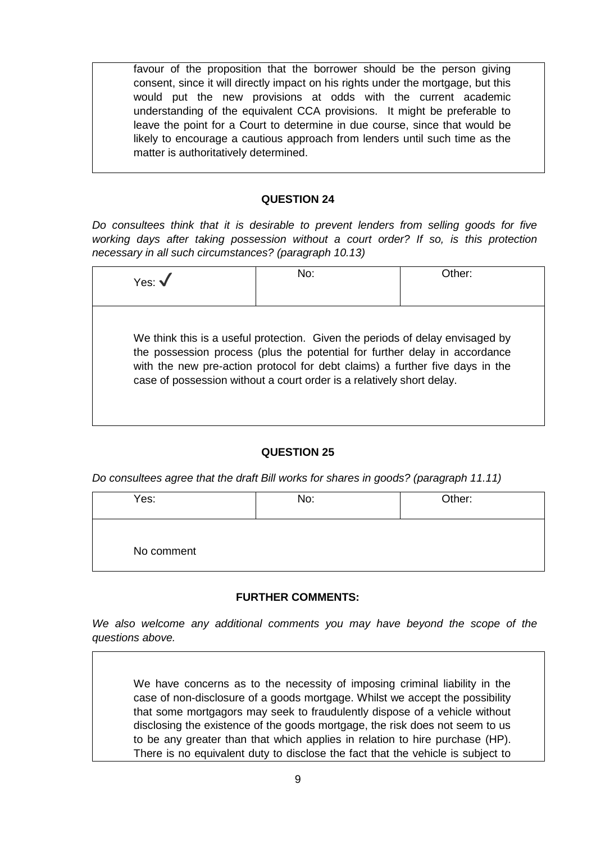favour of the proposition that the borrower should be the person giving consent, since it will directly impact on his rights under the mortgage, but this would put the new provisions at odds with the current academic understanding of the equivalent CCA provisions. It might be preferable to leave the point for a Court to determine in due course, since that would be likely to encourage a cautious approach from lenders until such time as the matter is authoritatively determined.

#### **QUESTION 24**

*Do consultees think that it is desirable to prevent lenders from selling goods for five working days after taking possession without a court order? If so, is this protection necessary in all such circumstances? (paragraph 10.13)*

| Yes: $\sqrt{}$ | No:                                                                                                                                                                                                                                                                                                                  | Other: |
|----------------|----------------------------------------------------------------------------------------------------------------------------------------------------------------------------------------------------------------------------------------------------------------------------------------------------------------------|--------|
|                |                                                                                                                                                                                                                                                                                                                      |        |
|                | We think this is a useful protection. Given the periods of delay envisaged by<br>the possession process (plus the potential for further delay in accordance<br>with the new pre-action protocol for debt claims) a further five days in the<br>case of possession without a court order is a relatively short delay. |        |

### **QUESTION 25**

*Do consultees agree that the draft Bill works for shares in goods? (paragraph 11.11)*

| Yes:       | No: | Other: |
|------------|-----|--------|
| No comment |     |        |

### **FURTHER COMMENTS:**

*We also welcome any additional comments you may have beyond the scope of the questions above.* 

We have concerns as to the necessity of imposing criminal liability in the case of non-disclosure of a goods mortgage. Whilst we accept the possibility that some mortgagors may seek to fraudulently dispose of a vehicle without disclosing the existence of the goods mortgage, the risk does not seem to us to be any greater than that which applies in relation to hire purchase (HP). There is no equivalent duty to disclose the fact that the vehicle is subject to